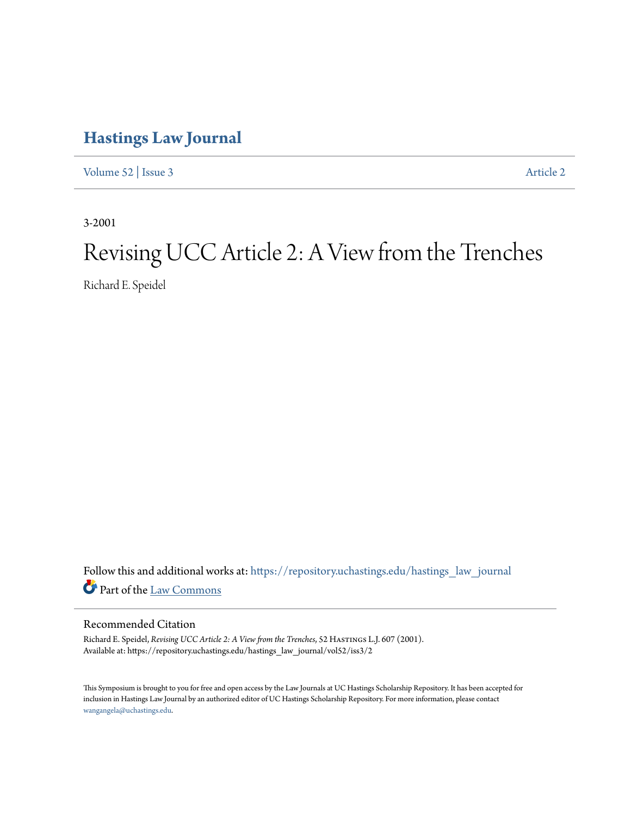# **[Hastings Law Journal](https://repository.uchastings.edu/hastings_law_journal?utm_source=repository.uchastings.edu%2Fhastings_law_journal%2Fvol52%2Fiss3%2F2&utm_medium=PDF&utm_campaign=PDFCoverPages)**

[Volume 52](https://repository.uchastings.edu/hastings_law_journal/vol52?utm_source=repository.uchastings.edu%2Fhastings_law_journal%2Fvol52%2Fiss3%2F2&utm_medium=PDF&utm_campaign=PDFCoverPages) | [Issue 3](https://repository.uchastings.edu/hastings_law_journal/vol52/iss3?utm_source=repository.uchastings.edu%2Fhastings_law_journal%2Fvol52%2Fiss3%2F2&utm_medium=PDF&utm_campaign=PDFCoverPages) [Article 2](https://repository.uchastings.edu/hastings_law_journal/vol52/iss3/2?utm_source=repository.uchastings.edu%2Fhastings_law_journal%2Fvol52%2Fiss3%2F2&utm_medium=PDF&utm_campaign=PDFCoverPages)

3-2001

# Revising UCC Article 2: A View from the Trenches

Richard E. Speidel

Follow this and additional works at: [https://repository.uchastings.edu/hastings\\_law\\_journal](https://repository.uchastings.edu/hastings_law_journal?utm_source=repository.uchastings.edu%2Fhastings_law_journal%2Fvol52%2Fiss3%2F2&utm_medium=PDF&utm_campaign=PDFCoverPages) Part of the [Law Commons](http://network.bepress.com/hgg/discipline/578?utm_source=repository.uchastings.edu%2Fhastings_law_journal%2Fvol52%2Fiss3%2F2&utm_medium=PDF&utm_campaign=PDFCoverPages)

# Recommended Citation

Richard E. Speidel, *Revising UCC Article 2: A View from the Trenches*, 52 HASTINGS L.J. 607 (2001). Available at: https://repository.uchastings.edu/hastings\_law\_journal/vol52/iss3/2

This Symposium is brought to you for free and open access by the Law Journals at UC Hastings Scholarship Repository. It has been accepted for inclusion in Hastings Law Journal by an authorized editor of UC Hastings Scholarship Repository. For more information, please contact [wangangela@uchastings.edu](mailto:wangangela@uchastings.edu).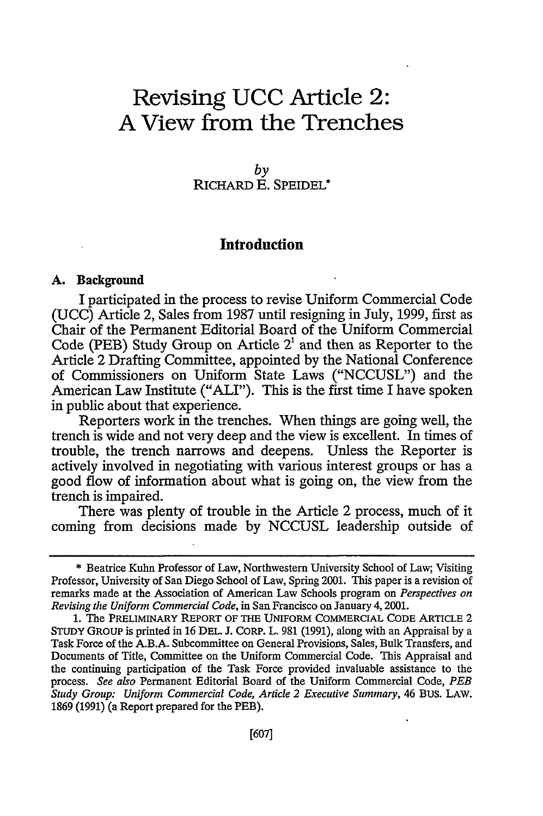# **Revising UCC Article 2: A View from the Trenches**

*by* RICHARD E. SPEIDEL\*

# **Introduction**

#### **A. Background**

I participated in the process to revise Uniform Commercial Code (UCC) Article 2, Sales from 1987 until resigning in July, 1999, first as Chair of the Permanent Editorial Board of the Uniform Commercial Code (PEB) Study Group on Article  $2<sup>1</sup>$  and then as Reporter to the Article 2 Drafting Committee, appointed by the National Conference of Commissioners on Uniform State Laws ("NCCUSL") and the American Law Institute ("ALI"). This is the first time I have spoken in public about that experience.

Reporters work in the trenches. When things are going well, the trench is wide and not very deep and the view is excellent. In times of trouble, the trench narrows and deepens. Unless the Reporter is actively involved in negotiating with various interest groups or has a good flow of information about what is going on, the view from the trench is impaired.

There was plenty of trouble in the Article 2 process, much of it coming from decisions made by NCCUSL leadership outside of

<sup>\*</sup> Beatrice Kuhn Professor of Law, Northwestern University School of Law; Visiting Professor, University of San Diego School of Law, Spring 2001. This paper is a revision of remarks made at the Association of American Law Schools program on *Perspectives on Revising the Uniform Commercial Code,* in San Francisco on January 4,2001.

**<sup>1.</sup>** The PRELIMINARY REPORT OF THE UNIFORM COMMERCIAL CODE ARTICLE 2 STUDY GROUP is printed in 16 **DEL.** J. CORP. L. 981 (1991), along with an Appraisal by a Task Force of the A.B.A. Subcommittee on General Provisions, Sales, Bulk Transfers, and Documents of Title, Committee on the Uniform Commercial Code. This Appraisal and the continuing participation of the Task Force provided invaluable assistance to the process. *See also* Permanent Editorial Board of the Uniform Commercial Code, *PEB Study Group: Uniform Commercial Code, Article 2 Executive Summary,* 46 BUS. LAW. 1869 (1991) (a Report prepared for the PEB).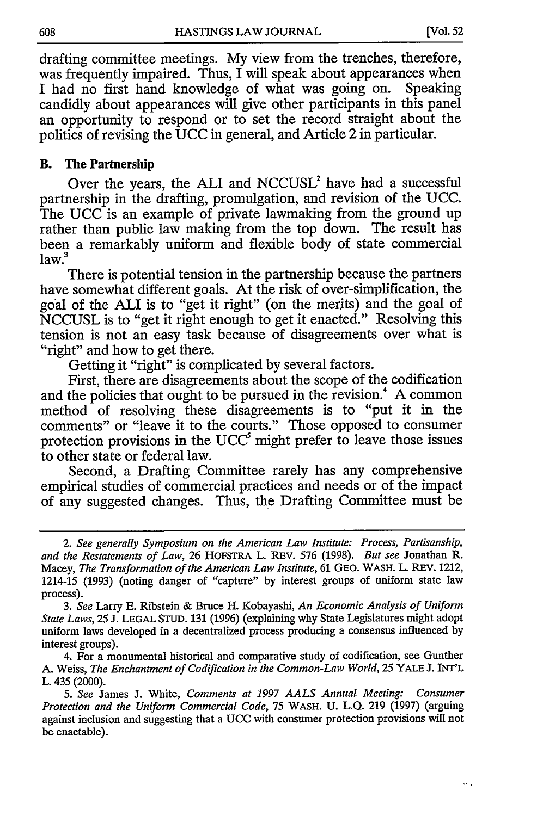÷.

drafting committee meetings. My view from the trenches, therefore, was frequently impaired. Thus, I will speak about appearances when I had no first hand knowledge of what was going on. Speaking candidly about appearances will give other participants in this panel an opportunity to respond or to set the record straight about the politics of revising the UCC in general, and Article 2 in particular.

#### B. The Partnership

Over the years, the ALI and NCCUSL<sup>2</sup> have had a successful partnership in the drafting, promulgation, and revision of the UCC. The UCC is an example of private lawmaking from the ground up rather than public law making from the top down. The result has been a remarkably uniform and flexible body of state commercial  $law.<sup>3</sup>$ 

There is potential tension in the partnership because the partners have somewhat different goals. At the risk of over-simplification, the goal of the **ALI** is to "get it right" (on the merits) and the goal of NCCUSL is to "get it right enough to get it enacted." Resolving this tension is not an easy task because of disagreements over what is "right" and how to get there.

Getting it "right" is complicated by several factors.

First, there are disagreements about the scope of the codification and the policies that ought to be pursued in the revision.<sup>4</sup> A common method of resolving these disagreements is to "put it in the comments" or "leave it to the courts." Those opposed to consumer protection provisions in the  $UCC^{\delta}$  might prefer to leave those issues to other state or federal law.

Second, a Drafting Committee rarely has any comprehensive empirical studies of commercial practices and needs or of the impact of any suggested changes. Thus, the Drafting Committee must be

*<sup>2.</sup> See generally Symposium on the American Law Institute: Process, Partisanship, and the Restatements of Law,* 26 HOFSTRA L. REV. 576 (1998). *But see* Jonathan R. Macey, *The Transformation of the American Law Institute,* 61 GEO. WASH. L. REV. 1212, 1214-15 (1993) (noting danger of "capture" by interest groups of uniform state law process).

*<sup>3.</sup> See* Larry E. Ribstein & Bruce H. Kobayashi, *An Economic Analysis of Uniform State Laws,* 25 J. LEGAL STUD. 131 (1996) (explaining why State Legislatures might adopt uniform laws developed in a decentralized process producing a consensus influenced by interest groups).

<sup>4.</sup> For a monumental historical and comparative study of codification, see Gunther A. Weiss, *The Enchantment of Codification in the Common-Law World,* 25 YALE J. INT'L L. 435 (2000).

*<sup>5.</sup> See* James J. White, *Comments at 1997 AALS Annual Meeting: Consumer Protection and the Uniform Commercial Code,* 75 WASH. U. L.Q. 219 (1997) (arguing against inclusion and suggesting that a UCC with consumer protection provisions will not be enactable).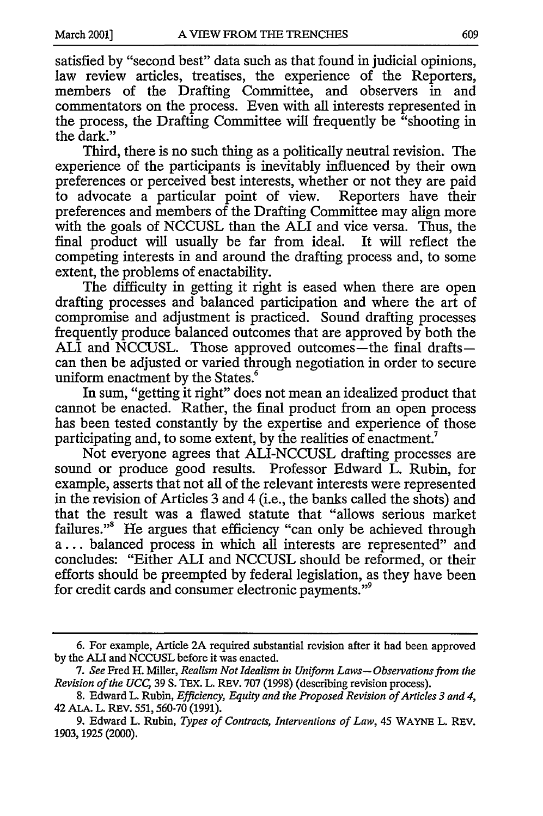satisfied by "second best" data such as that found in judicial opinions, law review articles, treatises, the experience of the Reporters members of the Drafting Committee, and observers in and commentators on the process. Even with all interests represented in the process, the Drafting Committee will frequently be "shooting in the dark."

Third, there is no such thing as a politically neutral revision. The experience of the participants is inevitably influenced by their own preferences or perceived best interests, whether or not they are paid to advocate a particular point of view. Reporters have their preferences and members of the Drafting Committee may align more with the goals of NCCUSL than the ALI and vice versa. Thus, the final product will usually be far from ideal. It will reflect the competing interests in and around the drafting process and, to some extent, the problems of enactability.

The difficulty in getting it right is eased when there are open drafting processes and balanced participation and where the art of compromise and adjustment is practiced. Sound drafting processes frequently produce balanced outcomes that are approved by both the ALI and NCCUSL. Those approved outcomes—the final draftscan then be adjusted or varied through negotiation in order to secure uniform enactment by the States.<sup>6</sup>

In sum, "getting it right" does not mean an idealized product that cannot be enacted. Rather, the final product from an open process has been tested constantly by the expertise and experience of those participating and, to some extent, by the realities of enactment.<sup>7</sup>

Not everyone agrees that ALI-NCCUSL drafting processes are sound or produce good results. Professor Edward L. Rubin, for example, asserts that not all of the relevant interests were represented in the revision of Articles 3 and 4 (i.e., the banks called the shots) and that the result was a flawed statute that "allows serious market failures."<sup>8</sup> He argues that efficiency "can only be achieved through a... balanced process in which all interests are represented" and concludes: "Either ALI and NCCUSL should be reformed, or their efforts should be preempted by federal legislation, as they have been for credit cards and consumer electronic payments."

<sup>6.</sup> For example, Article 2A required substantial revision after it had been approved by the **ALI** and NCCUSL before it was enacted.

*<sup>7.</sup> See* Fred H. Miller, *Realism Not Idealism in Uniform Laws- Observations from the Revision of the UCC,* 39 S. TEX. L. REV. 707 (1998) (describing revision process).

<sup>8.</sup> Edward L. Rubin, *Efficiency, Equity and the Proposed Revision of Articles 3 and 4,* 42 ALA. L. REv. 551,560-70 (1991).

<sup>9.</sup> Edward L. Rubin, *Types of Contracts, Interventions of Law,* 45 WAYNE L. REV. 1903, 1925 (2000).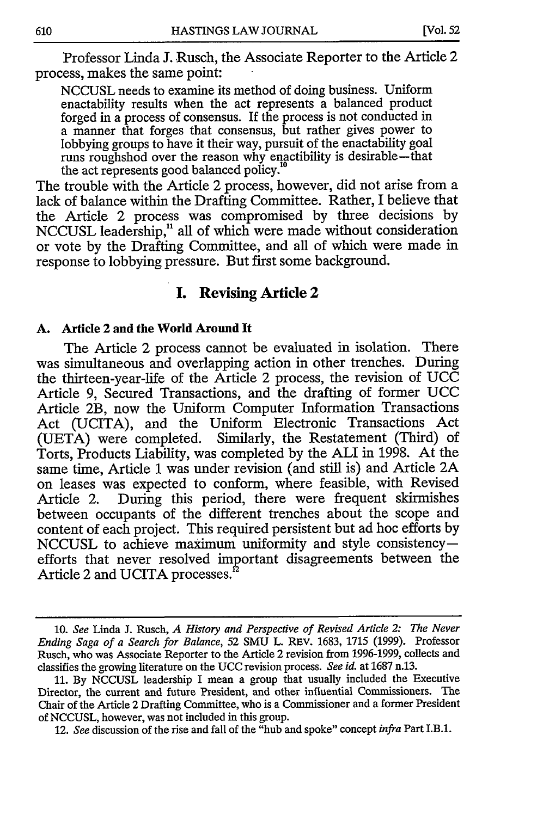Professor Linda J. Rusch, the Associate Reporter to the Article 2 process, makes the same point:

NCCUSL needs to examine its method of doing business. Uniform enactability results when the act represents a balanced product forged in a process of consensus. If the process is not conducted in a manner that forges that consensus, but rather gives power to lobbying groups to have it their way, pursuit of the enactability goal runs roughshod over the reason why enactibility is desirable-that the act represents good balanced policy."

The trouble with the Article 2 process, however, did not arise from a lack of balance within the Drafting Committee. Rather, I believe that the Article 2 process was compromised by three decisions by NCCUSL leadership,<sup>11</sup> all of which were made without consideration or vote by the Drafting Committee, and all of which were made in response to lobbying pressure. But first some background.

# **I. Revising Article 2**

## **A.** Article 2 **and the World Around It**

The Article 2 process cannot be evaluated in isolation. There was simultaneous and overlapping action in other trenches. During the thirteen-year-life of the Article 2 process, the revision of UCC Article **9,** Secured Transactions, and the drafting of former UCC Article 2B, now the Uniform Computer Information Transactions Act (UCITA), and the Uniform Electronic Transactions Act (UETA) were completed. Similarly, the Restatement (Third) of Torts, Products Liability, was completed by the ALI in 1998. At the same time, Article 1 was under revision (and still is) and Article **2A** on leases was expected to conform, where feasible, with Revised Article 2. During this period, there were frequent skirmishes between occupants of the different trenches about the scope and content of each project. This required persistent but ad hoc efforts by NCCUSL to achieve maximum uniformity and style consistencyefforts that never resolved important disagreements between the Article 2 and UCITA processes.

<sup>10.</sup> *See* Linda J. Rusch, *A History and Perspective of Revised Article 2: The Never Ending Saga of a Search for Balance,* 52 SMU L. REV. 1683, 1715 (1999). Professor Rusch, who was Associate Reporter to the Article 2 revision from 1996-1999, collects and classifies the growing literature on the UCC revision process. *See id.* at 1687 n.13.

<sup>11.</sup> By NCCUSL leadership I mean a group that usually included the Executive Director, the current and future President, and other influential Commissioners. The Chair of the Article 2 Drafting Committee, who is a Commissioner and a former President of NCCUSL, however, was not included in this group.

<sup>12.</sup> *See* discussion of the rise and fall of the "hub and spoke" concept *infra* Part I.B.1.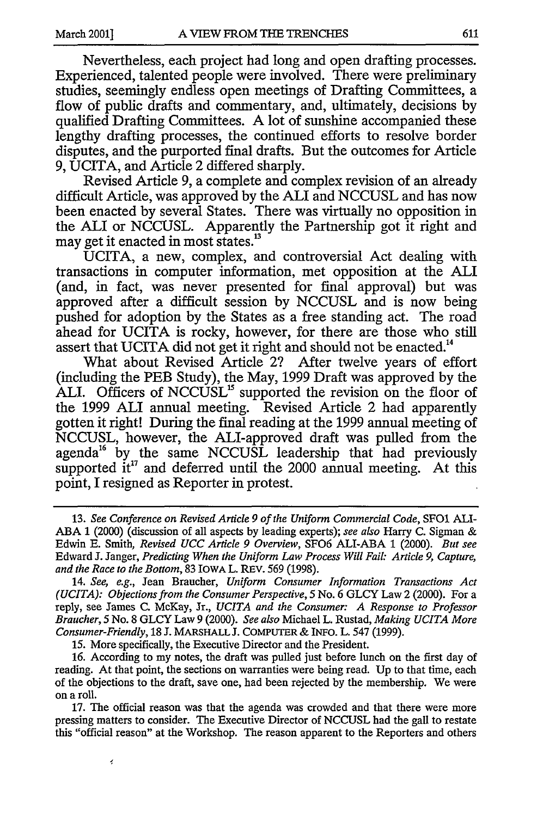Nevertheless, each project had long and open drafting processes. Experienced, talented people were involved. There were preliminary studies, seemingly endless open meetings of Drafting Committees, a flow of public drafts and commentary, and, ultimately, decisions by qualified Drafting Committees. A lot of sunshine accompanied these lengthy drafting processes, the continued efforts to resolve border disputes, and the purported final drafts. But the outcomes for Article 9, UCITA, and Article 2 differed sharply.

Revised Article 9, a complete and complex revision of an already difficult Article, was approved by the ALI and NCCUSL and has now been enacted by several States. There was virtually no opposition in the ALI or NCCUSL. Apparently the Partnership got it right and may get it enacted in most states.<sup>13</sup>

UCITA, a new, complex, and controversial Act dealing with transactions in computer information, met opposition at the **ALI** (and, in fact, was never presented for final approval) but was approved after a difficult session by NCCUSL and is now being pushed for adoption by the States as a free standing act. The road ahead for UCITA is rocky, however, for there are those who still assert that UCITA did not get it right and should not be enacted.<sup>14</sup>

What about Revised Article 2? After twelve years of effort (including the PEB Study), the May, 1999 Draft was approved by the ALI. Officers of NCCUSL<sup>15</sup> supported the revision on the floor of the 1999 **ALI** annual meeting. Revised Article 2 had apparently gotten it right! During the final reading at the 1999 annual meeting of NCCUSL, however, the ALI-approved draft was pulled from the agenda<sup>16</sup> by the same NCCUSL leadership that had previously supported it<sup>17</sup> and deferred until the 2000 annual meeting. At this point, I resigned as Reporter in protest.

15. More specifically, the Executive Director and the President.

ł

17. The official reason was that the agenda was crowded and that there were more pressing matters to consider. The Executive Director of NCCUSL had the gall to restate this "official reason" at the Workshop. The reason apparent to the Reporters and others

<sup>13.</sup> *See Conference on Revised Article 9 of the Uniform Commercial Code,* SFO1 **ALI-**ABA 1 (2000) (discussion of all aspects by leading experts); *see also* Harry C. Sigman & Edwin E. Smith, *Revised UCC Article 9 Overview,* SF06 ALI-ABA 1 (2000). *But see* Edward J. Janger, *Predicting When the Uniform Law Process Will Fail: Article 9, Capture, and the Race to the Bottom,* 83 IOWA L. REV. 569 (1998).

<sup>14.</sup> *See, e.g.,* Jean Braucher, *Uniform Consumer Information Transactions Act (UCITA): Objections from the Consumer Perspective, 5* No. 6 GLCY Law 2 (2000). For a reply, see James C. McKay, Jr., *UCITA and the Consumer: A Response to Professor Braucher, 5* No. 8 GLCY Law 9 (2000). *See also* Michael L. Rustad, *Making UCITA More Consumer-Friendly,* 18 J. MARSHALL J. COMPUTER & INFO. L. 547 (1999).

<sup>16.</sup> According to my notes, the draft was pulled just before lunch on the first day of reading. At that point, the sections on warranties were being read. Up to that time, each of the objections to the draft, save one, had been rejected by the membership. We were on a roll.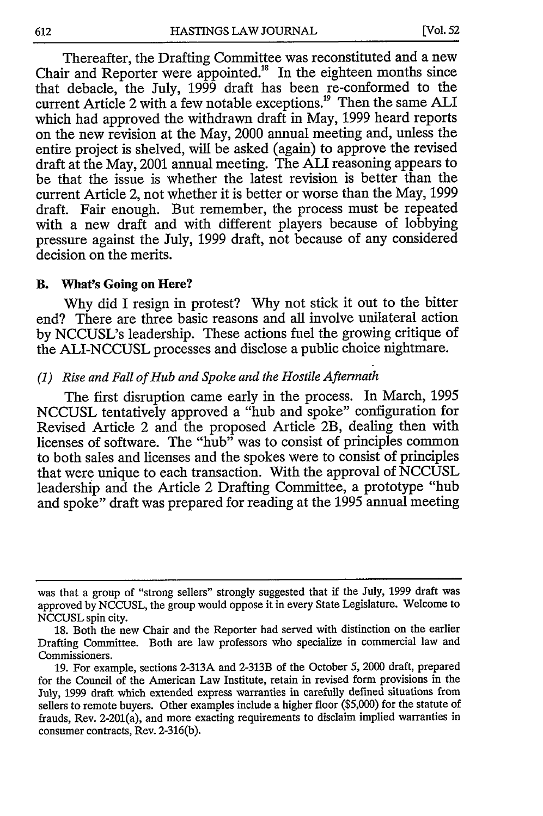Thereafter, the Drafting Committee was reconstituted and a new Chair and Reporter were appointed.18 In the eighteen months since that debacle, the July, 1999 draft has been re-conformed to the current Article 2 with a few notable exceptions.<sup>19</sup> Then the same ALI which had approved the withdrawn draft in May, 1999 heard reports on the new revision at the May, 2000 annual meeting and, unless the entire project is shelved, will be asked (again) to approve the revised draft at the May, 2001 annual meeting. The ALI reasoning appears to be that the issue is whether the latest revision is better than the current Article 2, not whether it is better or worse than the May, 1999 draft. Fair enough. But remember, the process must be repeated with a new draft and with different players because of lobbying pressure against the July, 1999 draft, not because of any considered decision on the merits.

### B. What's Going **on Here?**

Why did I resign in protest? Why not stick it out to the bitter end? There are three basic reasons and all involve unilateral action by NCCUSL's leadership. These actions fuel the growing critique of the ALI-NCCUSL processes and disclose a public choice nightmare.

#### *(1) Rise and Fall of Hub and Spoke and the Hostile Aftermath*

The first disruption came early in the process. In March, 1995 NCCUSL tentatively approved a "hub and spoke" configuration for Revised Article 2 and the proposed Article 2B, dealing then with licenses of software. The "hub" was to consist of principles common to both sales and licenses and the spokes were to consist of principles that were unique to each transaction. With the approval of NCCUSL leadership and the Article 2 Drafting Committee, a prototype "hub and spoke" draft was prepared for reading at the 1995 annual meeting

was that a group of "strong sellers" strongly suggested that if the July, 1999 draft was approved by NCCUSL, the group would oppose it in every State Legislature. Welcome to NCCUSL spin city.

<sup>18.</sup> Both the new Chair and the Reporter had served with distinction on the earlier Drafting Committee. Both are law professors who specialize in commercial law and Commissioners.

<sup>19.</sup> For example, sections 2-313A and 2-313B of the October *5,* 2000 draft, prepared for the Council of the American Law Institute, retain in revised form provisions in the July, 1999 draft which extended express warranties in carefully defined situations from sellers to remote buyers. Other examples include a higher floor (\$5,000) for the statute of frauds, Rev. 2-201(a), and more exacting requirements to disclaim implied warranties in consumer contracts, Rev. 2-316(b).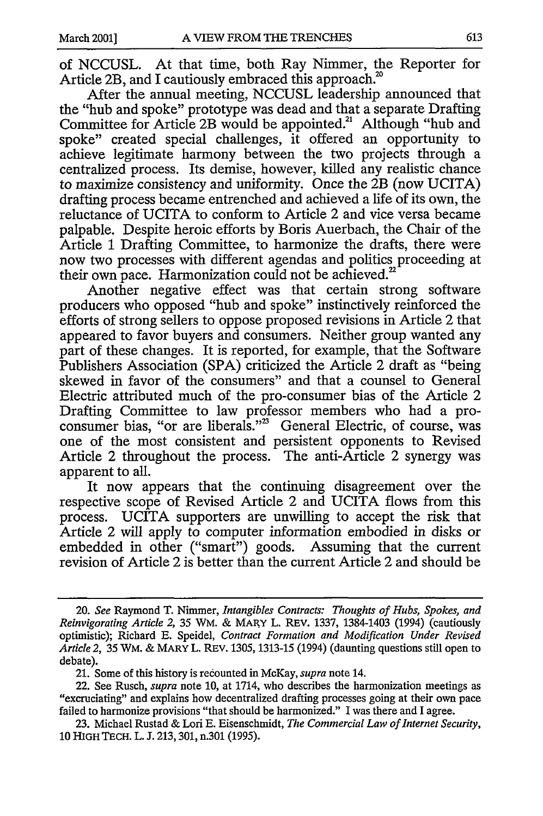of NCCUSL. At that time, both Ray Nimmer, the Reporter for Article 2B, and I cautiously embraced this approach.<sup>20</sup>

After the annual meeting, NCCUSL leadership announced that the "hub and spoke" prototype was dead and that a separate Drafting Committee for Article 2B would be appointed.<sup>21</sup> Although "hub and spoke" created special challenges, it offered an opportunity to achieve legitimate harmony between the two projects through a centralized process. Its demise, however, killed any realistic chance to maximize consistency and uniformity. Once the 2B (now UCITA) drafting process became entrenched and achieved a life of its own, the reluctance of UCITA to conform to Article 2 and vice versa became palpable. Despite heroic efforts by Boris Auerbach, the Chair of the Article 1 Drafting Committee, to harmonize the drafts, there were now two processes with different agendas and politics proceeding at their own pace. Harmonization could not be achieved.'

Another negative effect was that certain strong software producers who opposed "hub and spoke" instinctively reinforced the efforts of strong sellers to oppose proposed revisions in Article 2 that appeared to favor buyers and consumers. Neither group wanted any part of these changes. It is reported, for example, that the Software Publishers Association (SPA) criticized the Article 2 draft as "being skewed in favor of the consumers" and that a counsel to General Electric attributed much of the pro-consumer bias of the Article 2 Drafting Committee to law professor members who had a proconsumer bias, "or are liberals."<sup>23</sup> General Electric, of course, was one of the most consistent and persistent opponents to Revised Article 2 throughout the process. The anti-Article 2 synergy was apparent to all.

It now appears that the continuing disagreement over the respective scope of Revised Article 2 and UCITA flows from this process. UCITA supporters are unwilling to accept the risk that Article 2 will apply to computer information embodied in disks or embedded in other ("smart") goods. Assuming that the current revision of Article 2 is better than the current Article 2 and should be

<sup>20.</sup> *See* Raymond T. Nimmer, *Intangibles Contracts: Thoughts of Hubs, Spokes, and Reinvigorating Article 2,* 35 WM. & MARY L. REv. 1337, 1384-1403 (1994) (cautiously optimistic); Richard E. Speidel, *Contract Formation and Modification Under Revised Article 2,* 35 WM. & MARY L. REV. 1305, 1313-15 (1994) (daunting questions still open to debate).

<sup>21.</sup> Some of this history is recounted in McKay, *supra* note 14.

<sup>22.</sup> See Rusch, *supra* note 10, at 1714, who describes the harmonization meetings as "excruciating" and explains how decentralized drafting processes going at their own pace failed to harmonize provisions "that should be harmonized." I was there and I agree.

<sup>23.</sup> Michael Rustad & Lori E. Eisenschmidt, *The Commercial Law of Internet Security,* 10 HIGH TECH. L. J. 213,301, n.301 (1995).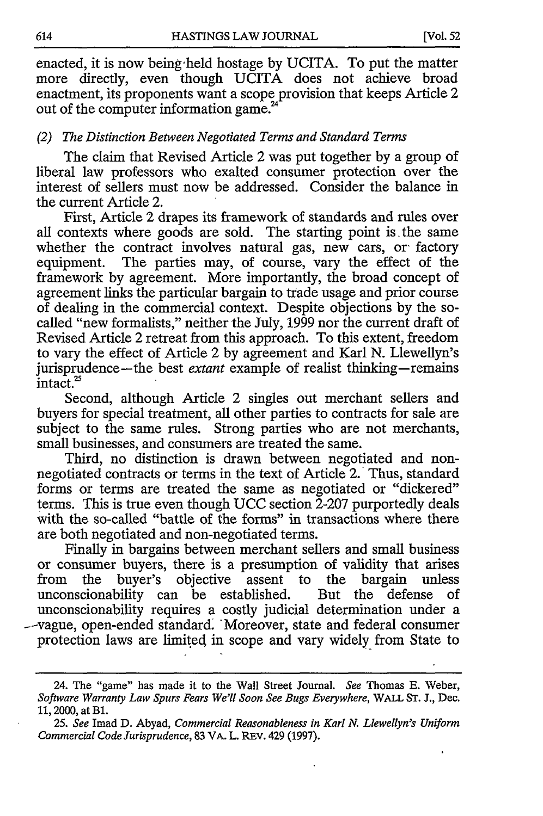[Vol. **52**

enacted, it is now being held hostage by UCITA. To put the matter more directly, even though UCITA does not achieve broad enactment, its proponents want a scope provision that keeps Article 2 out of the computer information game.'

### *(2) The Distinction Between Negotiated Terms and Standard Terms*

The claim that Revised Article 2 was put together by a group of liberal law professors who exalted consumer protection over the interest of sellers must now be addressed. Consider the balance in the current Article 2.

First, Article 2 drapes its framework of standards and rules over all contexts where goods are sold. The starting point is the same whether the contract involves natural gas, new cars, or factory equipment. The parties may, of course, vary the effect of the framework by agreement. More importantly, the broad concept of agreement links the particular bargain to trade usage and prior course of dealing in the commercial context. Despite objections by the socalled "new formalists," neither the July, 1999 nor the current draft of Revised Article 2 retreat from this approach. To this extent, freedom to vary the effect of Article 2 by agreement and Karl N. Llewellyn's jurisprudence-the best *extant* example of realist thinking-remains intact.<sup>25</sup>

Second, although Article 2 singles out merchant sellers and buyers for special treatment, all other parties to contracts for sale are subject to the same rules. Strong parties who are not merchants, small businesses, and consumers are treated the same.

Third, no distinction is drawn between negotiated and nonnegotiated contracts or terms in the text of Article 2. Thus, standard forms or terms are treated the same as negotiated or "dickered" terms. This is true even though UCC section  $2-207$  purportedly deals with the so-called "battle of the forms" in transactions where there are both negotiated and non-negotiated terms.

Finally in bargains between merchant sellers and small business or consumer buyers, there is a presumption of validity that arises from the buyer's objective assent to the bargain unless unconscionability can be established. But the defense of unconscionability requires a costly judicial determination under a -- vague, open-ended standard. Moreover, state and federal consumer protection laws are limited in scope and vary widely from State to

<sup>24.</sup> The "game" has made it to the Wall Street Journal. *See* Thomas E. Weber, *Software Warranty Law Spurs Fears We'll Soon See Bugs Everywhere,* WALL ST. J., Dec. 11, 2000, at B1.

*<sup>25.</sup> See* Imad D. Abyad, *Commercial Reasonableness in Karl* **N.** *Llewellyn's Uniform Commercial Code Jurisprudence,* 83 VA. L. REV. 429 (1997).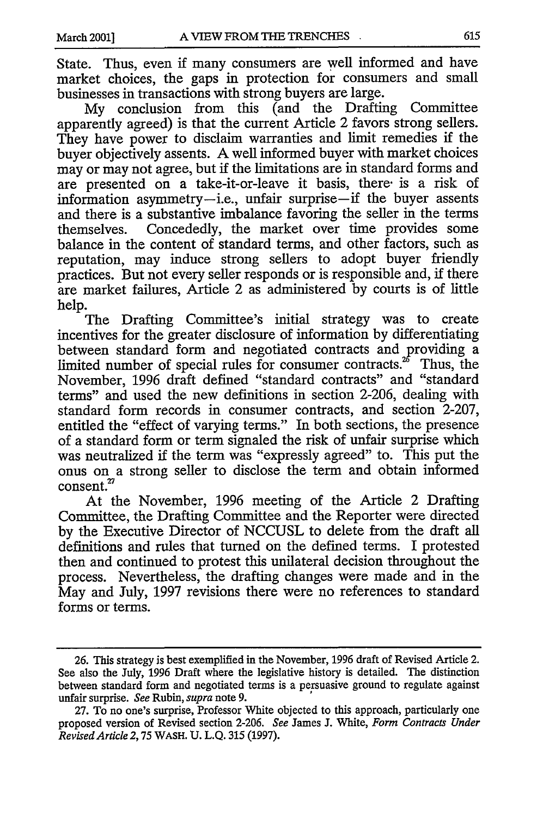State. Thus, even if many consumers are well informed and have market choices, the gaps in protection for consumers and small businesses in transactions with strong buyers are large.

My conclusion from this (and the Drafting Committee apparently agreed) is that the current Article 2 favors strong sellers. They have power to disclaim warranties and limit remedies if the buyer objectively assents. A well informed buyer with market choices may or may not agree, but if the limitations are in standard forms and are presented on a take-it-or-leave it basis, there- is a risk of information asymmetry-i.e., unfair surprise-if the buyer assents and there is a substantive imbalance favoring the seller in the terms themselves. Concededly, the market over time provides some balance in the content of standard terms, and other factors, such as reputation, may induce strong sellers to adopt buyer friendly practices. But not every seller responds or is responsible and, if there are market failures, Article 2 as administered by courts is of little help.

The Drafting Committee's initial strategy was to create incentives for the greater disclosure of information by differentiating between standard form and negotiated contracts and providing a limited number of special rules for consumer contracts.<sup>26</sup> Thus, the November, 1996 draft defined "standard contracts" and "standard terms" and used the new definitions in section 2-206, dealing with standard form records in consumer contracts, and section 2-207, entitled the "effect of varying terms." In both sections, the presence of a standard form or term signaled the risk of unfair surprise which was neutralized if the term was "expressly agreed" to. This put the onus on a strong seller to disclose the term and obtain informed consent.<sup>27</sup>

At the November, 1996 meeting of the Article 2 Drafting Committee, the Drafting Committee and the Reporter were directed by the Executive Director of NCCUSL to delete from the draft all definitions and rules that turned on the defined terms. I protested then and continued to protest this unilateral decision throughout the process. Nevertheless, the drafting changes were made and in the May and July, 1997 revisions there were no references to standard forms or terms.

<sup>26.</sup> This strategy is best exemplified in the November, 1996 draft of Revised Article 2. See also the July, 1996 Draft where the legislative history is detailed. The distinction between standard form and negotiated terms is a persuasive ground to regulate against unfair surprise. *See* Rubin, *supra* note 9.

<sup>27.</sup> To no one's surprise, Professor White objected to this approach, particularly one proposed version of Revised section 2-206. *See* James J. White, *Form Contracts Under Revised Article 2,75* WASH. U. L.Q. 315 (1997).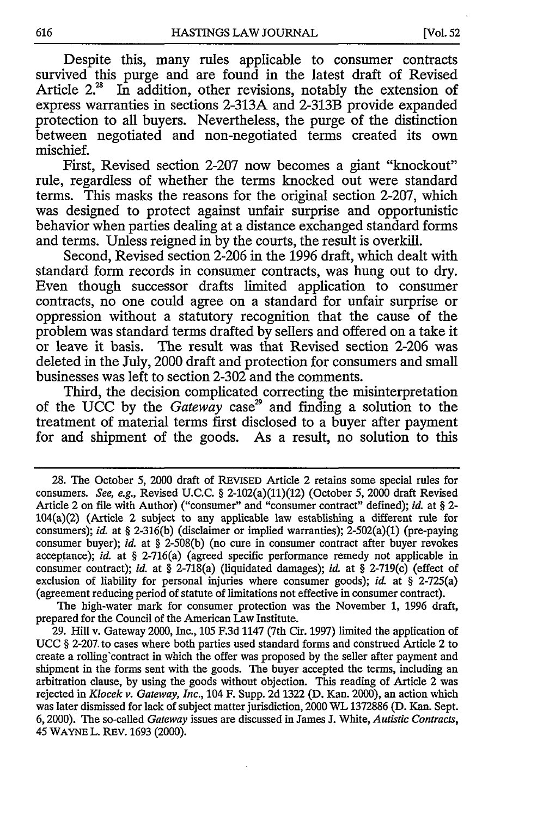Despite this, many rules applicable to consumer contracts survived this purge and are found in the latest draft of Revised Article  $2^{28}$  In addition, other revisions, notably the extension of express warranties in sections **2-313A** and 2-313B provide expanded protection to all buyers. Nevertheless, the purge of the distinction between negotiated and non-negotiated terms created its own mischief.

First, Revised section **2-207** now becomes a giant "knockout" rule, regardless of whether the terms knocked out were standard terms. This masks the reasons for the original section **2-207,** which was designed to protect against unfair surprise and opportunistic behavior when parties dealing at a distance exchanged standard forms and terms. Unless reigned in **by** the courts, the result is overkill.

Second, Revised section **2-206** in the **1996** draft, which dealt with standard form records in consumer contracts, was hung out to dry. Even though successor drafts limited application to consumer contracts, no one could agree on a standard for unfair surprise or oppression without a statutory recognition that the cause of the problem was standard terms drafted **by** sellers and offered on a take it or leave it basis. The result was that Revised section **2-206** was deleted in the July, 2000 draft and protection for consumers and small businesses was left to section **2-302** and the comments.

Third, the decision complicated correcting the misinterpretation of the UCC by the *Gateway* case<sup>29</sup> and finding a solution to the treatment of material terms first disclosed to a buyer after payment for and shipment of the goods. As a result, no solution to this

The high-water mark for consumer protection was the November **1, 1996** draft, prepared for the Council of the American Law Institute.

**29.** Hill v. Gateway 2000, Inc., **105 F.3d** 1147 (7th Cir. **1997)** limited the application of **UCC § 2-207.** to cases where both parties used standard forms and construed Article 2 to create a rolling'contract in which the offer was proposed **by** the seller after payment and shipment in the forms sent with the goods. The buyer accepted the terms, including an arbitration clause, **by** using the goods without objection. This reading of Article 2 was rejected in *Klocek v. Gateway, Inc.,* 104 F. Supp. **2d 1322 (D.** Kan. 2000), an action which was later dismissed for lack of subject matter jurisdiction, 2000 WL **1372886 (D.** Kan. Sept. **6,2000).** The so-called *Gateway* issues are discussed in James **J.** White, *Autistic Contracts,* 45 **WAYNE** L. REV. **1693** (2000).

**<sup>28.</sup>** The October **5,** 2000 draft of **REVISED** Article 2 retains some special rules for consumers. *See,* e.g., Revised **U.C.C. §** 2-102(a)(11)(12) (October **5,** 2000 draft Revised Article 2 on file with Author) ("consumer" and "consumer contract" defined); *id.* at **§** 2- 104(a)(2) (Article 2 subject to any applicable law establishing a different rule for consumers); *id.* at **§ 2-316(b)** (disclaimer or implied warranties); 2-502(a)(1) (pre-paying consumer buyer); *id* at **§ 2-508(b)** (no cure in consumer contract after buyer revokes acceptance); *id* at **§** 2-716(a) (agreed specific performance remedy not applicable in consumer contract); *id* at **§** 2-718(a) (liquidated damages); *id&* at **§** 2-719(c) (effect of exclusion of liability for personal injuries where consumer goods); *id.* at **§** 2-725(a) (agreement reducing period of statute of limitations not effective in consumer contract).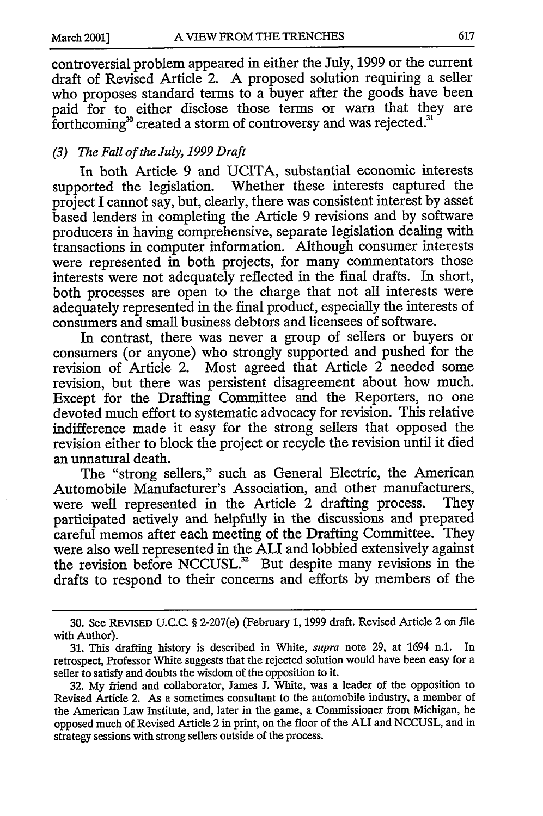controversial problem appeared in either the July, 1999 or the current draft of Revised Article 2. A proposed solution requiring a seller who proposes standard terms to a buyer after the goods have been paid for to either disclose those terms or warn that they are forthcoming<sup>30</sup> created a storm of controversy and was rejected.<sup>31</sup>

### *(3) The Fall of the July, 1999 Draft*

In both Article 9 and UCITA, substantial economic interests supported the legislation. Whether these interests captured the project I cannot say, but, clearly, there was consistent interest by asset based lenders in completing the Article 9 revisions and by software producers in having comprehensive, separate legislation dealing with transactions in computer information. Although consumer interests were represented in both projects, for many commentators those interests were not adequately reflected in the final drafts. In short, both processes are open to the charge that not all interests were adequately represented in the final product, especially the interests of consumers and small business debtors and licensees of software.

In contrast, there was never a group of sellers or buyers or consumers (or anyone) who strongly supported and pushed for the revision of Article 2. Most agreed that Article 2 needed some revision, but there was persistent disagreement about how much. Except for the Drafting Committee and the Reporters, no one devoted much effort to systematic advocacy for revision. This relative indifference made it easy for the strong sellers that opposed the revision either to block the project or recycle the revision until it died an unnatural death.

The "strong sellers," such as General Electric, the American Automobile Manufacturer's Association, and other manufacturers, were well represented in the Article 2 drafting process. They participated actively and helpfully in the discussions and prepared careful memos after each meeting of the Drafting Committee. They were also well represented in the ALI and lobbied extensively against the revision before NCCUSL. $^{32}$  But despite many revisions in the drafts to respond to their concerns and efforts by members of the

<sup>30.</sup> See REVISED U.C.C. § 2-207(e) (February 1, 1999 draft. Revised Article 2 on file with Author).

<sup>31.</sup> This drafting history is described in White, *supra* note 29, at 1694 n.1. In retrospect, Professor White suggests that the rejected solution would have been easy for a seller to satisfy and doubts the wisdom of the opposition to it.

<sup>32.</sup> My friend and collaborator, James J. White, was a leader of the opposition to Revised Article 2. As a sometimes consultant to the automobile industry, a member of the American Law Institute, and, later in the game, a Commissioner from Michigan, he opposed much of Revised Article 2 in print, on the floor of the ALI and NCCUSL, and in strategy sessions with strong sellers outside of the process.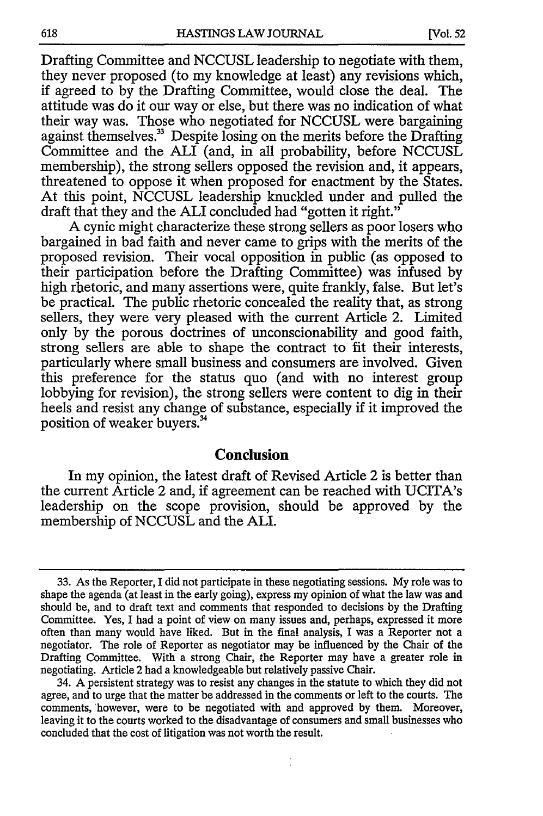Drafting Committee and NCCUSL leadership to negotiate with them, they never proposed (to my knowledge at least) any revisions which, if agreed to by the Drafting Committee, would close the deal. The attitude was do it our way or else, but there was no indication of what their way was. Those who negotiated for NCCUSL were bargaining against themselves.<sup>33</sup> Despite losing on the merits before the Drafting Committee and the ALI (and, in all probability, before NCCUSL membership), the strong sellers opposed the revision and, it appears, threatened to oppose it when proposed for enactment by the States. At this point, NCCUSL leadership knuckled under and pulled the draft that they and the ALI concluded had "gotten it right."

A cynic might characterize these strong sellers as poor losers who bargained in bad faith and never came to grips with the merits of the proposed revision. Their vocal opposition in public (as opposed to their participation before the Drafting Committee) was infused by high rhetoric, and many assertions were, quite frankly, false. But let's be practical. The public rhetoric concealed the reality that, as strong sellers, they were very pleased with the current Article 2. Limited only by the porous doctrines of unconscionability and good faith, strong sellers are able to shape the contract to fit their interests, particularly where small business and consumers are involved. Given this preference for the status quo (and with no interest group lobbying for revision), the strong sellers were content to dig in their heels and resist any change of substance, especially if it improved the position of weaker buyers."

## **Conclusion**

In my opinion, the latest draft of Revised Article 2 is better than the current Article 2 and, if agreement can be reached with UCITA's leadership on the scope provision, should be approved by the membership of NCCUSL and the ALL.

<sup>33.</sup> As the Reporter, I did not participate in these negotiating sessions. My role was to shape the agenda (at least in the early going), express my opinion of what the law was and should be, and to draft text and comments that responded to decisions by the Drafting Committee. Yes, I had a point of view on many issues and, perhaps, expressed it more often than many would have liked. But in the final analysis, I was a Reporter not a negotiator. The role of Reporter as negotiator may be influenced by the Chair of the Drafting Committee. With a strong Chair, the Reporter may have a greater role in negotiating. Article 2 had a knowledgeable but relatively passive Chair.

<sup>34.</sup> A persistent strategy was to resist any changes in the statute to which they did not agree, and to urge that the matter be addressed in the comments or left to the courts. The comments, however, were to be negotiated with and approved by them. Moreover, leaving it to the courts worked to the disadvantage of consumers and small businesses who concluded that the cost of litigation was not worth the result.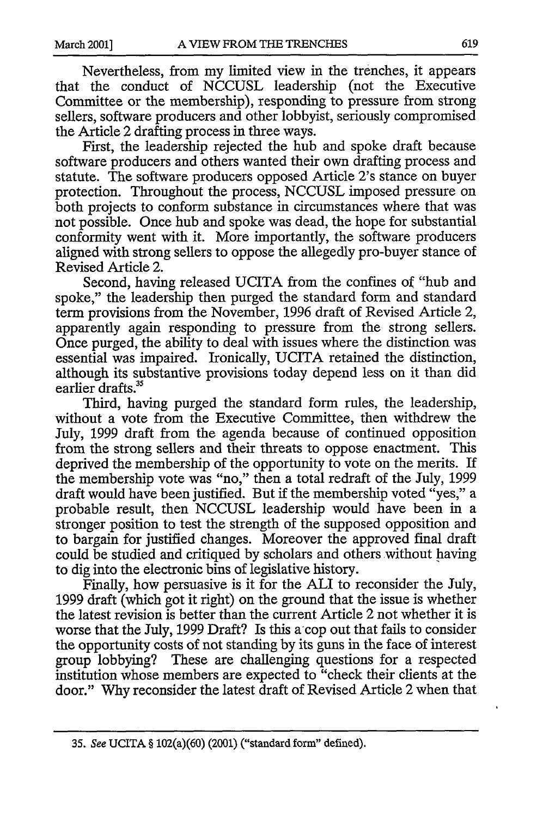Nevertheless, from my limited view in the trenches, it appears that the conduct of NCCUSL leadership (not the Executive Committee or the membership), responding to pressure from strong sellers, software producers and other lobbyist, seriously compromised the Article 2 drafting process in three ways.

First, the leadership rejected the hub and spoke draft because software producers and others wanted their own drafting process and statute. The software producers opposed Article 2's stance on buyer protection. Throughout the process, NCCUSL imposed pressure on both projects to conform substance in circumstances where that was not possible. Once hub and spoke was dead, the hope for substantial conformity went with it. More importantly, the software producers aligned with strong sellers to oppose the allegedly pro-buyer stance of Revised Article 2.

Second, having released UCITA from the confines of "hub and spoke," the leadership then purged the standard form and standard term provisions from the November, 1996 draft of Revised Article 2, apparently again responding to pressure from the strong sellers. Once purged, the ability to deal with issues where the distinction was essential was impaired. Ironically, UCITA retained the distinction, although its substantive provisions today depend less on it than did earlier drafts.<sup>35</sup>

Third, having purged the standard form rules, the leadership, without a vote from the Executive Committee, then withdrew the July, 1999 draft from the agenda because of continued opposition from the strong sellers and their threats to oppose enactment. This deprived the membership of the opportunity to vote on the merits. If the membership vote was "no," then a total redraft of the July, 1999 draft would have been justified. But if the membership voted "yes," a probable result, then NCCUSL leadership would have been in a stronger position to test the strength of the supposed opposition and to bargain for justified changes. Moreover the approved final draft could be studied and critiqued by scholars and others without having to dig into the electronic bins of legislative history.

Finally, how persuasive is it for the ALI to reconsider the July, 1999 draft (which got it right) on the ground that the issue is whether the latest revision is better than the current Article 2 not whether it is worse that the July, 1999 Draft? Is this a cop out that fails to consider the opportunity costs of not standing by its guns in the face of interest group lobbying? These are challenging questions for a respected institution whose members are expected to "check their clients at the door." Why reconsider the latest draft of Revised Article 2 when that

**<sup>35.</sup>** See **UCITA §** 102(a)(60) (2001) ("standard form" defined).